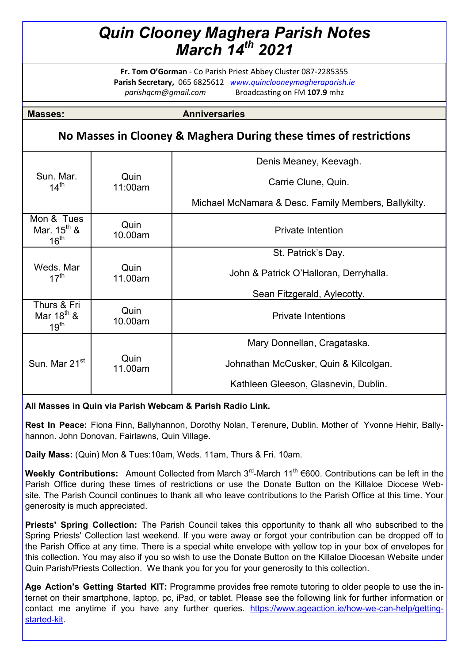# *Quin Clooney Maghera Parish Notes March 14th 2021*

**Fr. Tom O'Gorman** - Co Parish Priest Abbey Cluster 087-2285355 **Parish Secretary,** 065 6825612 *www.quinclooneymagheraparish.ie parishqcm@gmail.com* Broadcasting on FM **107.9** mhz

**Masses: Anniversaries** 

## **No Masses in Clooney & Maghera During these times of restrictions**

|                                                           |                 | Denis Meaney, Keevagh.                               |
|-----------------------------------------------------------|-----------------|------------------------------------------------------|
| Sun. Mar.<br>$14^{\text{th}}$                             | Quin<br>11:00am | Carrie Clune, Quin.                                  |
|                                                           |                 | Michael McNamara & Desc. Family Members, Ballykilty. |
| Mon & Tues<br>Mar. $15^{\text{th}}$ &<br>$16^{\text{th}}$ | Quin<br>10.00am | <b>Private Intention</b>                             |
|                                                           |                 | St. Patrick's Day.                                   |
| Weds, Mar<br>$17^{\text{th}}$                             | Quin<br>11.00am | John & Patrick O'Halloran, Derryhalla.               |
|                                                           |                 | Sean Fitzgerald, Aylecotty.                          |
| Thurs & Fri<br>Mar $18^{th}$ &<br>$19^{\text{th}}$        | Quin<br>10.00am | <b>Private Intentions</b>                            |
|                                                           |                 | Mary Donnellan, Cragataska.                          |
| Sun. Mar 21 <sup>st</sup>                                 | Quin<br>11.00am | Johnathan McCusker, Quin & Kilcolgan.                |
|                                                           |                 | Kathleen Gleeson, Glasnevin, Dublin.                 |

### **All Masses in Quin via Parish Webcam & Parish Radio Link.**

**Rest In Peace:** Fiona Finn, Ballyhannon, Dorothy Nolan, Terenure, Dublin. Mother of Yvonne Hehir, Ballyhannon. John Donovan, Fairlawns, Quin Village.

**Daily Mass:** (Quin) Mon & Tues:10am, Weds. 11am, Thurs & Fri. 10am.

**Weekly Contributions:** Amount Collected from March 3<sup>rd</sup>-March 11<sup>th</sup> €600. Contributions can be left in the Parish Office during these times of restrictions or use the Donate Button on the Killaloe Diocese Website. The Parish Council continues to thank all who leave contributions to the Parish Office at this time. Your generosity is much appreciated.

**Priests' Spring Collection:** The Parish Council takes this opportunity to thank all who subscribed to the Spring Priests' Collection last weekend. If you were away or forgot your contribution can be dropped off to the Parish Office at any time. There is a special white envelope with yellow top in your box of envelopes for this collection. You may also if you so wish to use the Donate Button on the Killaloe Diocesan Website under Quin Parish/Priests Collection. We thank you for you for your generosity to this collection.

**Age Action's Getting Started KIT:** Programme provides free remote tutoring to older people to use the internet on their smartphone, laptop, pc, iPad, or tablet. Please see the following link for further information or contact me anytime if you have any further queries. [https://www.ageaction.ie/how](https://www.ageaction.ie/how-we-can-help/getting-started-kit)-we-can-help/getting[started](https://www.ageaction.ie/how-we-can-help/getting-started-kit)-kit.